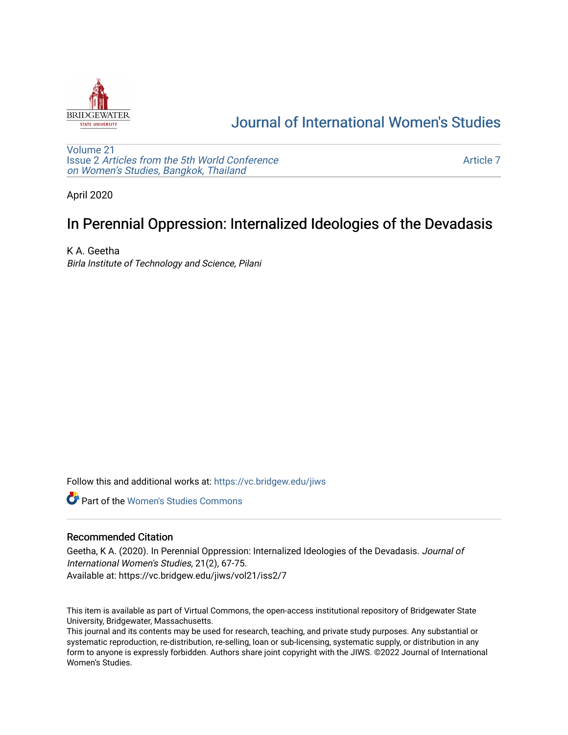

# [Journal of International Women's Studies](https://vc.bridgew.edu/jiws)

[Volume 21](https://vc.bridgew.edu/jiws/vol21) Issue 2 [Articles from the 5th World Conference](https://vc.bridgew.edu/jiws/vol21/iss2) [on Women's Studies, Bangkok, Thailand](https://vc.bridgew.edu/jiws/vol21/iss2) 

[Article 7](https://vc.bridgew.edu/jiws/vol21/iss2/7) 

April 2020

# In Perennial Oppression: Internalized Ideologies of the Devadasis

K A. Geetha

Birla Institute of Technology and Science, Pilani

Follow this and additional works at: [https://vc.bridgew.edu/jiws](https://vc.bridgew.edu/jiws?utm_source=vc.bridgew.edu%2Fjiws%2Fvol21%2Fiss2%2F7&utm_medium=PDF&utm_campaign=PDFCoverPages)

**C** Part of the Women's Studies Commons

### Recommended Citation

Geetha, K A. (2020). In Perennial Oppression: Internalized Ideologies of the Devadasis. Journal of International Women's Studies, 21(2), 67-75. Available at: https://vc.bridgew.edu/jiws/vol21/iss2/7

This item is available as part of Virtual Commons, the open-access institutional repository of Bridgewater State University, Bridgewater, Massachusetts.

This journal and its contents may be used for research, teaching, and private study purposes. Any substantial or systematic reproduction, re-distribution, re-selling, loan or sub-licensing, systematic supply, or distribution in any form to anyone is expressly forbidden. Authors share joint copyright with the JIWS. ©2022 Journal of International Women's Studies.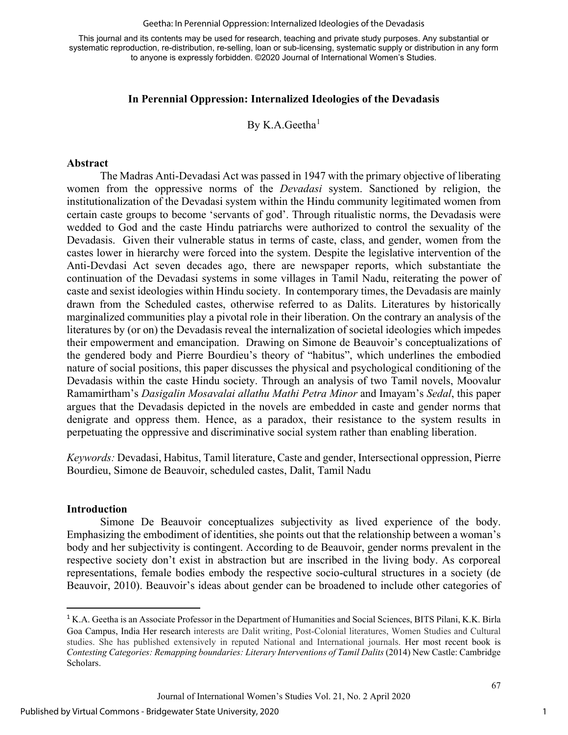#### Geetha: In Perennial Oppression: Internalized Ideologies of the Devadasis

This journal and its contents may be used for research, teaching and private study purposes. Any substantial or systematic reproduction, re-distribution, re-selling, loan or sub-licensing, systematic supply or distribution in any form to anyone is expressly forbidden. ©2020 Journal of International Women's Studies.

# **In Perennial Oppression: Internalized Ideologies of the Devadasis**

By K.A.Geetha $1$ 

### **Abstract**

The Madras Anti-Devadasi Act was passed in 1947 with the primary objective of liberating women from the oppressive norms of the *Devadasi* system. Sanctioned by religion, the institutionalization of the Devadasi system within the Hindu community legitimated women from certain caste groups to become 'servants of god'. Through ritualistic norms, the Devadasis were wedded to God and the caste Hindu patriarchs were authorized to control the sexuality of the Devadasis. Given their vulnerable status in terms of caste, class, and gender, women from the castes lower in hierarchy were forced into the system. Despite the legislative intervention of the Anti-Devdasi Act seven decades ago, there are newspaper reports, which substantiate the continuation of the Devadasi systems in some villages in Tamil Nadu, reiterating the power of caste and sexist ideologies within Hindu society. In contemporary times, the Devadasis are mainly drawn from the Scheduled castes, otherwise referred to as Dalits. Literatures by historically marginalized communities play a pivotal role in their liberation. On the contrary an analysis of the literatures by (or on) the Devadasis reveal the internalization of societal ideologies which impedes their empowerment and emancipation. Drawing on Simone de Beauvoir's conceptualizations of the gendered body and Pierre Bourdieu's theory of "habitus", which underlines the embodied nature of social positions, this paper discusses the physical and psychological conditioning of the Devadasis within the caste Hindu society. Through an analysis of two Tamil novels, Moovalur Ramamirtham's *Dasigalin Mosavalai allathu Mathi Petra Minor* and Imayam's *Sedal*, this paper argues that the Devadasis depicted in the novels are embedded in caste and gender norms that denigrate and oppress them. Hence, as a paradox, their resistance to the system results in perpetuating the oppressive and discriminative social system rather than enabling liberation.

*Keywords:* Devadasi, Habitus, Tamil literature, Caste and gender, Intersectional oppression, Pierre Bourdieu, Simone de Beauvoir, scheduled castes, Dalit, Tamil Nadu

#### **Introduction**

Simone De Beauvoir conceptualizes subjectivity as lived experience of the body. Emphasizing the embodiment of identities, she points out that the relationship between a woman's body and her subjectivity is contingent. According to de Beauvoir, gender norms prevalent in the respective society don't exist in abstraction but are inscribed in the living body. As corporeal representations, female bodies embody the respective socio-cultural structures in a society (de Beauvoir, 2010). Beauvoir's ideas about gender can be broadened to include other categories of

1

<span id="page-1-0"></span><sup>&</sup>lt;sup>1</sup> K.A. Geetha is an Associate Professor in the Department of Humanities and Social Sciences, BITS Pilani, K.K. Birla Goa Campus, India Her research interests are Dalit writing, Post-Colonial literatures, Women Studies and Cultural studies. She has published extensively in reputed National and International journals. Her most recent book is *Contesting Categories: Remapping boundaries: Literary Interventions of Tamil Dalits* (2014) New Castle: Cambridge Scholars.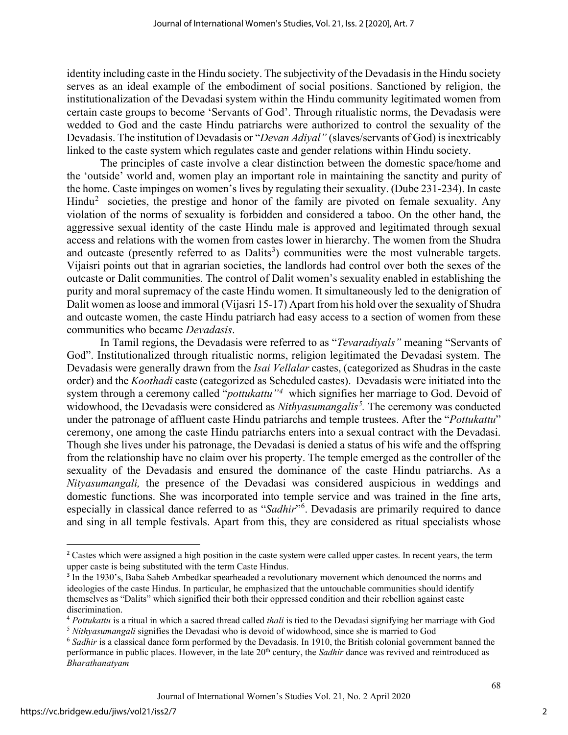identity including caste in the Hindu society. The subjectivity of the Devadasis in the Hindu society serves as an ideal example of the embodiment of social positions. Sanctioned by religion, the institutionalization of the Devadasi system within the Hindu community legitimated women from certain caste groups to become 'Servants of God'. Through ritualistic norms, the Devadasis were wedded to God and the caste Hindu patriarchs were authorized to control the sexuality of the Devadasis. The institution of Devadasis or "*Devan Adiyal"* (slaves/servants of God) is inextricably linked to the caste system which regulates caste and gender relations within Hindu society.

The principles of caste involve a clear distinction between the domestic space/home and the 'outside' world and, women play an important role in maintaining the sanctity and purity of the home. Caste impinges on women's lives by regulating their sexuality. (Dube 231-234). In caste  $Hindu<sup>2</sup>$  $Hindu<sup>2</sup>$  $Hindu<sup>2</sup>$  societies, the prestige and honor of the family are pivoted on female sexuality. Any violation of the norms of sexuality is forbidden and considered a taboo. On the other hand, the aggressive sexual identity of the caste Hindu male is approved and legitimated through sexual access and relations with the women from castes lower in hierarchy. The women from the Shudra and outcaste (presently referred to as Dalits<sup>[3](#page-2-1)</sup>) communities were the most vulnerable targets. Vijaisri points out that in agrarian societies, the landlords had control over both the sexes of the outcaste or Dalit communities. The control of Dalit women's sexuality enabled in establishing the purity and moral supremacy of the caste Hindu women. It simultaneously led to the denigration of Dalit women as loose and immoral (Vijasri 15-17) Apart from his hold over the sexuality of Shudra and outcaste women, the caste Hindu patriarch had easy access to a section of women from these communities who became *Devadasis*.

In Tamil regions, the Devadasis were referred to as "*Tevaradiyals"* meaning "Servants of God". Institutionalized through ritualistic norms, religion legitimated the Devadasi system. The Devadasis were generally drawn from the *Isai Vellalar* castes, (categorized as Shudras in the caste order) and the *Koothadi* caste (categorized as Scheduled castes). Devadasis were initiated into the system through a ceremony called "*pottukattu"[4](#page-2-2)* which signifies her marriage to God. Devoid of widowhood, the Devadasis were considered as *Nithyasumangalis[5.](#page-2-3)* The ceremony was conducted under the patronage of affluent caste Hindu patriarchs and temple trustees. After the "*Pottukattu*" ceremony, one among the caste Hindu patriarchs enters into a sexual contract with the Devadasi. Though she lives under his patronage, the Devadasi is denied a status of his wife and the offspring from the relationship have no claim over his property. The temple emerged as the controller of the sexuality of the Devadasis and ensured the dominance of the caste Hindu patriarchs. As a *Nityasumangali,* the presence of the Devadasi was considered auspicious in weddings and domestic functions. She was incorporated into temple service and was trained in the fine arts, especially in classical dance referred to as "Sadhir"<sup>[6](#page-2-4)</sup>. Devadasis are primarily required to dance and sing in all temple festivals. Apart from this, they are considered as ritual specialists whose

<span id="page-2-0"></span><sup>&</sup>lt;sup>2</sup> Castes which were assigned a high position in the caste system were called upper castes. In recent years, the term upper caste is being substituted with the term Caste Hindus.

<span id="page-2-1"></span><sup>3</sup> In the 1930's, Baba Saheb Ambedkar spearheaded a revolutionary movement which denounced the norms and ideologies of the caste Hindus. In particular, he emphasized that the untouchable communities should identify themselves as "Dalits" which signified their both their oppressed condition and their rebellion against caste discrimination.

<span id="page-2-2"></span><sup>4</sup> *Pottukattu* is a ritual in which a sacred thread called *thali* is tied to the Devadasi signifying her marriage with God

<span id="page-2-3"></span><sup>5</sup> *Nithyasumangali* signifies the Devadasi who is devoid of widowhood, since she is married to God

<span id="page-2-4"></span><sup>6</sup> *Sadhir* is a classical dance form performed by the Devadasis. In 1910, the British colonial government banned the performance in public places. However, in the late 20<sup>th</sup> century, the *Sadhir* dance was revived and reintroduced as *Bharathanatyam*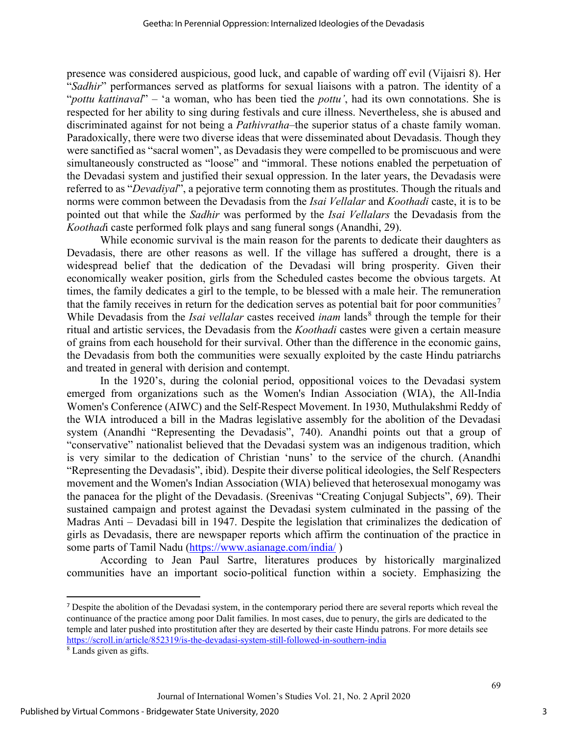presence was considered auspicious, good luck, and capable of warding off evil (Vijaisri 8). Her "*Sadhir*" performances served as platforms for sexual liaisons with a patron. The identity of a "*pottu kattinaval*" – 'a woman, who has been tied the *pottu'*, had its own connotations. She is respected for her ability to sing during festivals and cure illness. Nevertheless, she is abused and discriminated against for not being a *Pathivratha*–the superior status of a chaste family woman. Paradoxically, there were two diverse ideas that were disseminated about Devadasis. Though they were sanctified as "sacral women", as Devadasis they were compelled to be promiscuous and were simultaneously constructed as "loose" and "immoral. These notions enabled the perpetuation of the Devadasi system and justified their sexual oppression. In the later years, the Devadasis were referred to as "*Devadiyal*", a pejorative term connoting them as prostitutes. Though the rituals and norms were common between the Devadasis from the *Isai Vellalar* and *Koothadi* caste, it is to be pointed out that while the *Sadhir* was performed by the *Isai Vellalars* the Devadasis from the *Koothad*i caste performed folk plays and sang funeral songs (Anandhi, 29).

While economic survival is the main reason for the parents to dedicate their daughters as Devadasis, there are other reasons as well. If the village has suffered a drought, there is a widespread belief that the dedication of the Devadasi will bring prosperity. Given their economically weaker position, girls from the Scheduled castes become the obvious targets. At times, the family dedicates a girl to the temple, to be blessed with a male heir. The remuneration that the family receives in return for the dedication serves as potential bait for poor communities<sup>[7](#page-3-0)</sup> While Devadasis from the *Isai vellalar* castes received *inam* lands<sup>[8](#page-3-1)</sup> through the temple for their ritual and artistic services, the Devadasis from the *Koothadi* castes were given a certain measure of grains from each household for their survival. Other than the difference in the economic gains, the Devadasis from both the communities were sexually exploited by the caste Hindu patriarchs and treated in general with derision and contempt.

In the 1920's, during the colonial period, oppositional voices to the Devadasi system emerged from organizations such as the Women's Indian Association (WIA), the All-India Women's Conference (AIWC) and the Self-Respect Movement. In 1930, Muthulakshmi Reddy of the WIA introduced a bill in the Madras legislative assembly for the abolition of the Devadasi system (Anandhi "Representing the Devadasis", 740). Anandhi points out that a group of "conservative" nationalist believed that the Devadasi system was an indigenous tradition, which is very similar to the dedication of Christian 'nuns' to the service of the church. (Anandhi "Representing the Devadasis", ibid). Despite their diverse political ideologies, the Self Respecters movement and the Women's Indian Association (WIA) believed that heterosexual monogamy was the panacea for the plight of the Devadasis. (Sreenivas "Creating Conjugal Subjects", 69). Their sustained campaign and protest against the Devadasi system culminated in the passing of the Madras Anti – Devadasi bill in 1947. Despite the legislation that criminalizes the dedication of girls as Devadasis, there are newspaper reports which affirm the continuation of the practice in some parts of Tamil Nadu [\(https://www.asianage.com/india/](https://www.asianage.com/india/all-india/270917/devadasi-system-still-prevalent-naked-minor-girls-in-temples-of-tn.html) )

According to Jean Paul Sartre, literatures produces by historically marginalized communities have an important socio-political function within a society. Emphasizing the

3

<span id="page-3-0"></span><sup>7</sup> Despite the abolition of the Devadasi system, in the contemporary period there are several reports which reveal the continuance of the practice among poor Dalit families. In most cases, due to penury, the girls are dedicated to the temple and later pushed into prostitution after they are deserted by their caste Hindu patrons. For more details see <https://scroll.in/article/852319/is-the-devadasi-system-still-followed-in-southern-india>

<span id="page-3-1"></span><sup>8</sup> Lands given as gifts.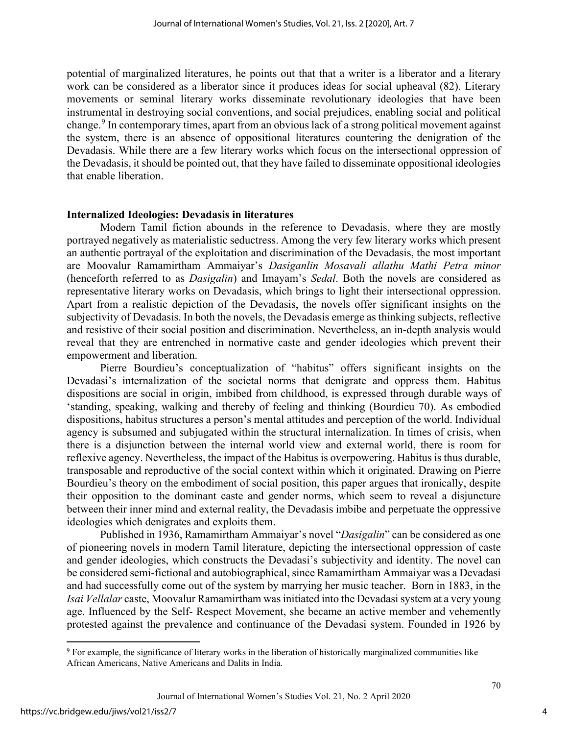potential of marginalized literatures, he points out that that a writer is a liberator and a literary work can be considered as a liberator since it produces ideas for social upheaval (82). Literary movements or seminal literary works disseminate revolutionary ideologies that have been instrumental in destroying social conventions, and social prejudices, enabling social and political change.<sup>[9](#page-4-0)</sup> In contemporary times, apart from an obvious lack of a strong political movement against the system, there is an absence of oppositional literatures countering the denigration of the Devadasis. While there are a few literary works which focus on the intersectional oppression of the Devadasis, it should be pointed out, that they have failed to disseminate oppositional ideologies that enable liberation.

#### **Internalized Ideologies: Devadasis in literatures**

Modern Tamil fiction abounds in the reference to Devadasis, where they are mostly portrayed negatively as materialistic seductress. Among the very few literary works which present an authentic portrayal of the exploitation and discrimination of the Devadasis, the most important are Moovalur Ramamirtham Ammaiyar's *Dasiganlin Mosavali allathu Mathi Petra minor* (henceforth referred to as *Dasigalin*) and Imayam's *Sedal*. Both the novels are considered as representative literary works on Devadasis, which brings to light their intersectional oppression. Apart from a realistic depiction of the Devadasis, the novels offer significant insights on the subjectivity of Devadasis. In both the novels, the Devadasis emerge as thinking subjects, reflective and resistive of their social position and discrimination. Nevertheless, an in-depth analysis would reveal that they are entrenched in normative caste and gender ideologies which prevent their empowerment and liberation.

Pierre Bourdieu's conceptualization of "habitus" offers significant insights on the Devadasi's internalization of the societal norms that denigrate and oppress them. Habitus dispositions are social in origin, imbibed from childhood, is expressed through durable ways of 'standing, speaking, walking and thereby of feeling and thinking (Bourdieu 70). As embodied dispositions, habitus structures a person's mental attitudes and perception of the world. Individual agency is subsumed and subjugated within the structural internalization. In times of crisis, when there is a disjunction between the internal world view and external world, there is room for reflexive agency. Nevertheless, the impact of the Habitus is overpowering. Habitus is thus durable, transposable and reproductive of the social context within which it originated. Drawing on Pierre Bourdieu's theory on the embodiment of social position, this paper argues that ironically, despite their opposition to the dominant caste and gender norms, which seem to reveal a disjuncture between their inner mind and external reality, the Devadasis imbibe and perpetuate the oppressive ideologies which denigrates and exploits them.

Published in 1936, Ramamirtham Ammaiyar's novel "*Dasigalin*" can be considered as one of pioneering novels in modern Tamil literature, depicting the intersectional oppression of caste and gender ideologies, which constructs the Devadasi's subjectivity and identity. The novel can be considered semi-fictional and autobiographical, since Ramamirtham Ammaiyar was a Devadasi and had successfully come out of the system by marrying her music teacher. Born in 1883, in the *Isai Vellalar* caste, Moovalur Ramamirtham was initiated into the Devadasi system at a very young age. Influenced by the Self- Respect Movement, she became an active member and vehemently protested against the prevalence and continuance of the Devadasi system. Founded in 1926 by

4

<span id="page-4-0"></span><sup>9</sup> For example, the significance of literary works in the liberation of historically marginalized communities like African Americans, Native Americans and Dalits in India.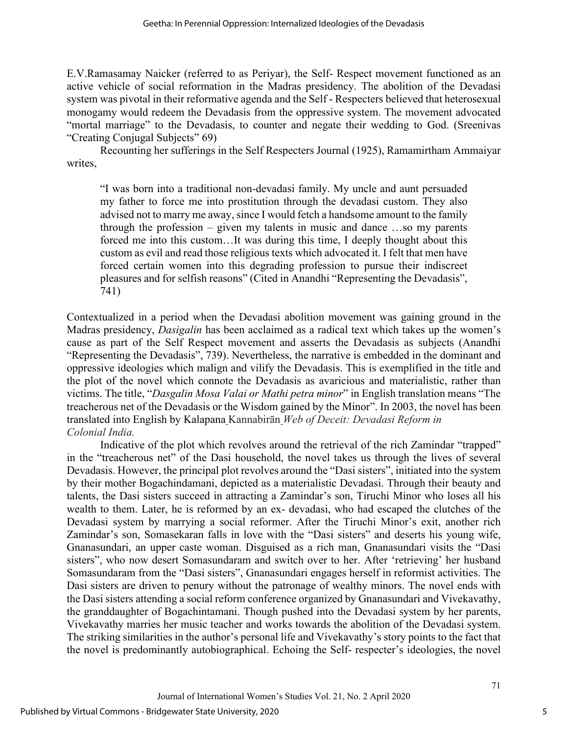E.V.Ramasamay Naicker (referred to as Periyar), the Self- Respect movement functioned as an active vehicle of social reformation in the Madras presidency. The abolition of the Devadasi system was pivotal in their reformative agenda and the Self - Respecters believed that heterosexual monogamy would redeem the Devadasis from the oppressive system. The movement advocated "mortal marriage" to the Devadasis, to counter and negate their wedding to God. (Sreenivas "Creating Conjugal Subjects" 69)

Recounting her sufferings in the Self Respecters Journal (1925), Ramamirtham Ammaiyar writes,

"I was born into a traditional non-devadasi family. My uncle and aunt persuaded my father to force me into prostitution through the devadasi custom. They also advised not to marry me away, since I would fetch a handsome amount to the family through the profession – given my talents in music and dance …so my parents forced me into this custom…It was during this time, I deeply thought about this custom as evil and read those religious texts which advocated it. I felt that men have forced certain women into this degrading profession to pursue their indiscreet pleasures and for selfish reasons" (Cited in Anandhi "Representing the Devadasis", 741)

Contextualized in a period when the Devadasi abolition movement was gaining ground in the Madras presidency, *Dasigalin* has been acclaimed as a radical text which takes up the women's cause as part of the Self Respect movement and asserts the Devadasis as subjects (Anandhi "Representing the Devadasis", 739). Nevertheless, the narrative is embedded in the dominant and oppressive ideologies which malign and vilify the Devadasis. This is exemplified in the title and the plot of the novel which connote the Devadasis as avaricious and materialistic, rather than victims. The title, "*Dasgalin Mosa Valai or Mathi petra minor*" in English translation means "The treacherous net of the Devadasis or the Wisdom gained by the Minor". In 2003, the novel has been translated into English by Kalapana Kannabirān *Web of Deceit: Devadasi Reform in Colonial India.*

Indicative of the plot which revolves around the retrieval of the rich Zamindar "trapped" in the "treacherous net" of the Dasi household, the novel takes us through the lives of several Devadasis. However, the principal plot revolves around the "Dasi sisters", initiated into the system by their mother Bogachindamani, depicted as a materialistic Devadasi. Through their beauty and talents, the Dasi sisters succeed in attracting a Zamindar's son, Tiruchi Minor who loses all his wealth to them. Later, he is reformed by an ex- devadasi, who had escaped the clutches of the Devadasi system by marrying a social reformer. After the Tiruchi Minor's exit, another rich Zamindar's son, Somasekaran falls in love with the "Dasi sisters" and deserts his young wife, Gnanasundari, an upper caste woman. Disguised as a rich man, Gnanasundari visits the "Dasi sisters", who now desert Somasundaram and switch over to her. After 'retrieving' her husband Somasundaram from the "Dasi sisters", Gnanasundari engages herself in reformist activities. The Dasi sisters are driven to penury without the patronage of wealthy minors. The novel ends with the Dasi sisters attending a social reform conference organized by Gnanasundari and Vivekavathy, the granddaughter of Bogachintamani. Though pushed into the Devadasi system by her parents, Vivekavathy marries her music teacher and works towards the abolition of the Devadasi system. The striking similarities in the author's personal life and Vivekavathy's story points to the fact that the novel is predominantly autobiographical. Echoing the Self- respecter's ideologies, the novel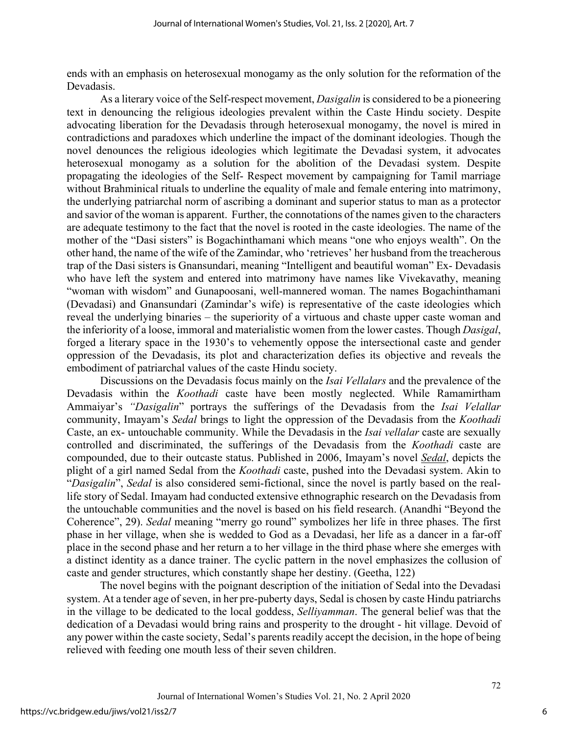ends with an emphasis on heterosexual monogamy as the only solution for the reformation of the Devadasis.

As a literary voice of the Self-respect movement, *Dasigalin* is considered to be a pioneering text in denouncing the religious ideologies prevalent within the Caste Hindu society. Despite advocating liberation for the Devadasis through heterosexual monogamy, the novel is mired in contradictions and paradoxes which underline the impact of the dominant ideologies. Though the novel denounces the religious ideologies which legitimate the Devadasi system, it advocates heterosexual monogamy as a solution for the abolition of the Devadasi system. Despite propagating the ideologies of the Self- Respect movement by campaigning for Tamil marriage without Brahminical rituals to underline the equality of male and female entering into matrimony, the underlying patriarchal norm of ascribing a dominant and superior status to man as a protector and savior of the woman is apparent. Further, the connotations of the names given to the characters are adequate testimony to the fact that the novel is rooted in the caste ideologies. The name of the mother of the "Dasi sisters" is Bogachinthamani which means "one who enjoys wealth". On the other hand, the name of the wife of the Zamindar, who 'retrieves' her husband from the treacherous trap of the Dasi sisters is Gnansundari, meaning "Intelligent and beautiful woman" Ex- Devadasis who have left the system and entered into matrimony have names like Vivekavathy, meaning "woman with wisdom" and Gunapoosani, well-mannered woman. The names Bogachinthamani (Devadasi) and Gnansundari (Zamindar's wife) is representative of the caste ideologies which reveal the underlying binaries – the superiority of a virtuous and chaste upper caste woman and the inferiority of a loose, immoral and materialistic women from the lower castes. Though *Dasigal*, forged a literary space in the 1930's to vehemently oppose the intersectional caste and gender oppression of the Devadasis, its plot and characterization defies its objective and reveals the embodiment of patriarchal values of the caste Hindu society.

Discussions on the Devadasis focus mainly on the *Isai Vellalars* and the prevalence of the Devadasis within the *Koothadi* caste have been mostly neglected. While Ramamirtham Ammaiyar's *"Dasigalin*" portrays the sufferings of the Devadasis from the *Isai Velallar* community, Imayam's *Sedal* brings to light the oppression of the Devadasis from the *Koothadi*  Caste, an ex- untouchable community. While the Devadasis in the *Isai vellalar* caste are sexually controlled and discriminated, the sufferings of the Devadasis from the *Koothadi* caste are compounded, due to their outcaste status. Published in 2006, Imayam's novel *Sedal*, depicts the plight of a girl named Sedal from the *Koothadi* caste, pushed into the Devadasi system. Akin to "*Dasigalin*", *Sedal* is also considered semi-fictional, since the novel is partly based on the reallife story of Sedal. Imayam had conducted extensive ethnographic research on the Devadasis from the untouchable communities and the novel is based on his field research. (Anandhi "Beyond the Coherence", 29). *Sedal* meaning "merry go round" symbolizes her life in three phases. The first phase in her village, when she is wedded to God as a Devadasi, her life as a dancer in a far-off place in the second phase and her return a to her village in the third phase where she emerges with a distinct identity as a dance trainer. The cyclic pattern in the novel emphasizes the collusion of caste and gender structures, which constantly shape her destiny. (Geetha, 122)

The novel begins with the poignant description of the initiation of Sedal into the Devadasi system. At a tender age of seven, in her pre-puberty days, Sedal is chosen by caste Hindu patriarchs in the village to be dedicated to the local goddess, *Selliyamman*. The general belief was that the dedication of a Devadasi would bring rains and prosperity to the drought - hit village. Devoid of any power within the caste society, Sedal's parents readily accept the decision, in the hope of being relieved with feeding one mouth less of their seven children.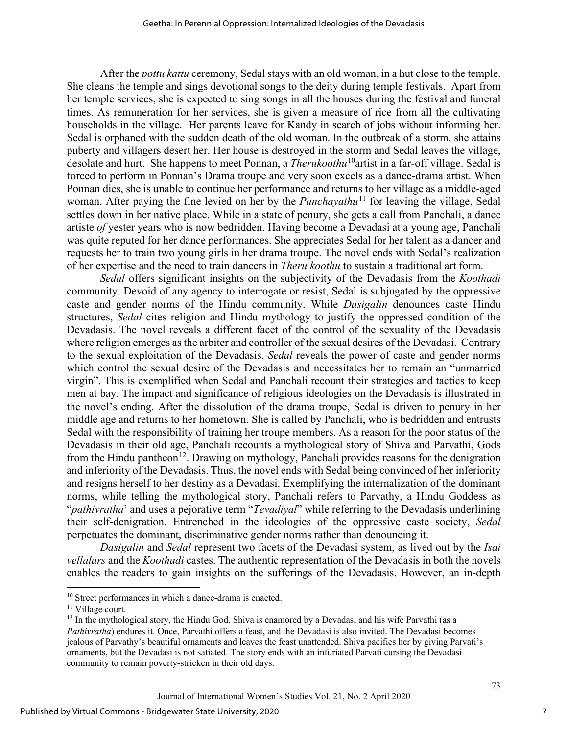After the *pottu kattu* ceremony, Sedal stays with an old woman, in a hut close to the temple. She cleans the temple and sings devotional songs to the deity during temple festivals. Apart from her temple services, she is expected to sing songs in all the houses during the festival and funeral times. As remuneration for her services, she is given a measure of rice from all the cultivating households in the village. Her parents leave for Kandy in search of jobs without informing her. Sedal is orphaned with the sudden death of the old woman. In the outbreak of a storm, she attains puberty and villagers desert her. Her house is destroyed in the storm and Sedal leaves the village, desolate and hurt. She happens to meet Ponnan, a *Therukoothu*[10a](#page-7-0)rtist in a far-off village. Sedal is forced to perform in Ponnan's Drama troupe and very soon excels as a dance-drama artist. When Ponnan dies, she is unable to continue her performance and returns to her village as a middle-aged woman. After paying the fine levied on her by the *Panchayathu*<sup>[11](#page-7-1)</sup> for leaving the village, Sedal settles down in her native place. While in a state of penury, she gets a call from Panchali, a dance artiste *of* yester years who is now bedridden. Having become a Devadasi at a young age, Panchali was quite reputed for her dance performances. She appreciates Sedal for her talent as a dancer and requests her to train two young girls in her drama troupe. The novel ends with Sedal's realization of her expertise and the need to train dancers in *Theru koothu* to sustain a traditional art form.

*Sedal* offers significant insights on the subjectivity of the Devadasis from the *Koothadi*  community. Devoid of any agency to interrogate or resist, Sedal is subjugated by the oppressive caste and gender norms of the Hindu community. While *Dasigalin* denounces caste Hindu structures, *Sedal* cites religion and Hindu mythology to justify the oppressed condition of the Devadasis. The novel reveals a different facet of the control of the sexuality of the Devadasis where religion emerges as the arbiter and controller of the sexual desires of the Devadasi. Contrary to the sexual exploitation of the Devadasis, *Sedal* reveals the power of caste and gender norms which control the sexual desire of the Devadasis and necessitates her to remain an "unmarried virgin". This is exemplified when Sedal and Panchali recount their strategies and tactics to keep men at bay. The impact and significance of religious ideologies on the Devadasis is illustrated in the novel's ending. After the dissolution of the drama troupe, Sedal is driven to penury in her middle age and returns to her hometown. She is called by Panchali, who is bedridden and entrusts Sedal with the responsibility of training her troupe members. As a reason for the poor status of the Devadasis in their old age, Panchali recounts a mythological story of Shiva and Parvathi, Gods from the Hindu pantheon<sup>12</sup>. Drawing on mythology, Panchali provides reasons for the denigration and inferiority of the Devadasis. Thus, the novel ends with Sedal being convinced of her inferiority and resigns herself to her destiny as a Devadasi. Exemplifying the internalization of the dominant norms, while telling the mythological story, Panchali refers to Parvathy, a Hindu Goddess as "*pathivratha*' and uses a pejorative term "*Tevadiyal*" while referring to the Devadasis underlining their self-denigration. Entrenched in the ideologies of the oppressive caste society, *Sedal* perpetuates the dominant, discriminative gender norms rather than denouncing it.

*Dasigalin* and *Sedal* represent two facets of the Devadasi system, as lived out by the *Isai vellalars* and the *Koothadi* castes. The authentic representation of the Devadasis in both the novels enables the readers to gain insights on the sufferings of the Devadasis. However, an in-depth

<span id="page-7-0"></span><sup>&</sup>lt;sup>10</sup> Street performances in which a dance-drama is enacted.<br><sup>11</sup> Village court.

<span id="page-7-1"></span>

<span id="page-7-2"></span><sup>&</sup>lt;sup>12</sup> In the mythological story, the Hindu God, Shiva is enamored by a Devadasi and his wife Parvathi (as a *Pathivratha*) endures it. Once, Parvathi offers a feast, and the Devadasi is also invited. The Devadasi becomes jealous of Parvathy's beautiful ornaments and leaves the feast unattended. Shiva pacifies her by giving Parvati's ornaments, but the Devadasi is not satiated. The story ends with an infuriated Parvati cursing the Devadasi community to remain poverty-stricken in their old days.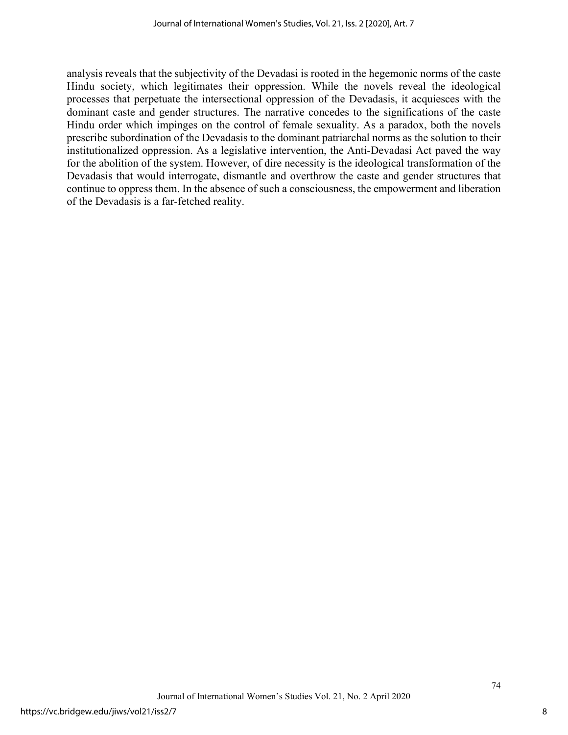analysis reveals that the subjectivity of the Devadasi is rooted in the hegemonic norms of the caste Hindu society, which legitimates their oppression. While the novels reveal the ideological processes that perpetuate the intersectional oppression of the Devadasis, it acquiesces with the dominant caste and gender structures. The narrative concedes to the significations of the caste Hindu order which impinges on the control of female sexuality. As a paradox, both the novels prescribe subordination of the Devadasis to the dominant patriarchal norms as the solution to their institutionalized oppression. As a legislative intervention, the Anti-Devadasi Act paved the way for the abolition of the system. However, of dire necessity is the ideological transformation of the Devadasis that would interrogate, dismantle and overthrow the caste and gender structures that continue to oppress them. In the absence of such a consciousness, the empowerment and liberation of the Devadasis is a far-fetched reality.